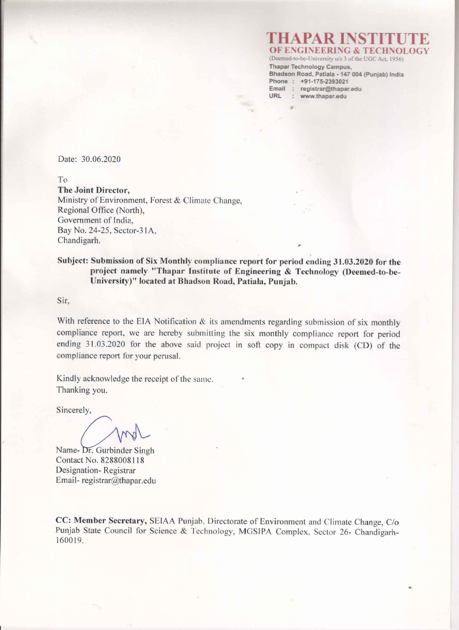#### **HAPAR INST OF ENGINEERING & TECHNOL** (Deemed-to-be-University u/s 3 of the UGC Act, 1956)

Thapar Technology Campus, Bhadson Road, Patiala - 147 004 (Punjab) India Phone: +91-175-2393021 Email : registrar@thapar.edu **URL** : www.thapar.edu

Date: 30.06.2020

T<sub>o</sub>

The Joint Director, Ministry of Environment, Forest & Climate Change, Regional Office (North), Government of India, Bay No. 24-25, Sector-31A, Chandigarh.

Subject: Submission of Six Monthly compliance report for period ending 31.03.2020 for the project namely "Thapar Institute of Engineering & Technology (Deemed-to-be-University)" located at Bhadson Road, Patiala, Punjab.

Sir.

With reference to the EIA Notification  $\&$  its amendments regarding submission of six monthly compliance report, we are hereby submitting the six monthly compliance report for period ending 31.03.2020 for the above said project in soft copy in compact disk (CD) of the compliance report for your perusal.

Kindly acknowledge the receipt of the same. Thanking you.

Sincerely,

Name- Dr. Gurbinder Singh Contact No. 8288008118 Designation-Registrar Email-registrar@thapar.edu

CC: Member Secretary, SEIAA Punjab, Directorate of Environment and Climate Change, C/o Punjab State Council for Science & Technology, MGSIPA Complex, Sector 26- Chandigarh-160019.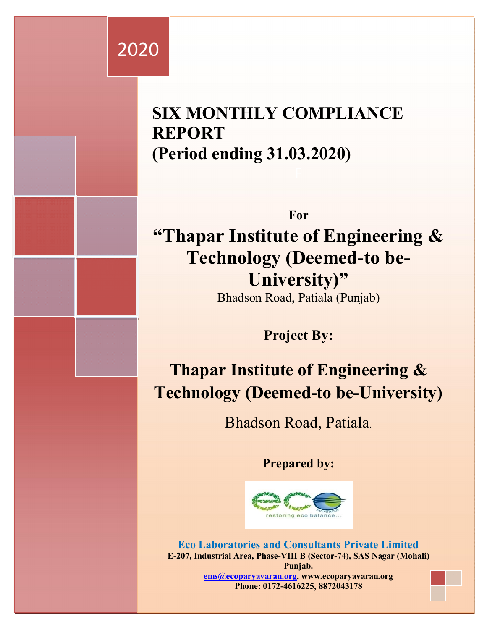# 2020

# **SIX MONTHLY COMPLIANCE REPORT (Period ending 31.03.2020)**

**For "Thapar Institute of Engineering & Technology (Deemed-to be-University)"**  Bhadson Road, Patiala (Punjab)

**Project By:**

**Thapar Institute of Engineering & Technology (Deemed-to be-University)**

Bhadson Road, Patiala.

**Prepared by:**



**Eco Laboratories and Consultants Private Limited E-207, Industrial Area, Phase-VIII B (Sector-74), SAS Nagar (Mohali) Punjab. ems@ecoparyavaran.org, www.ecoparyavaran.org Phone: 0172-4616225, 8872043178**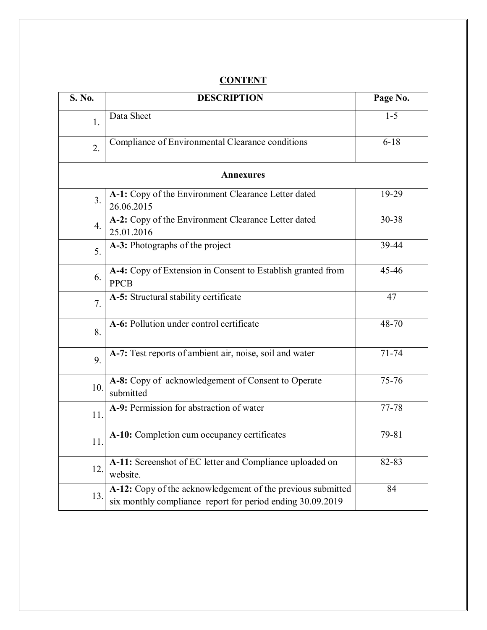| S. No.           | <b>DESCRIPTION</b>                                                                                                        | Page No.  |  |  |  |
|------------------|---------------------------------------------------------------------------------------------------------------------------|-----------|--|--|--|
| 1.               | Data Sheet                                                                                                                | $1 - 5$   |  |  |  |
| 2.               | Compliance of Environmental Clearance conditions                                                                          | $6 - 18$  |  |  |  |
|                  | <b>Annexures</b>                                                                                                          |           |  |  |  |
| 3.               | A-1: Copy of the Environment Clearance Letter dated<br>26.06.2015                                                         | 19-29     |  |  |  |
| $\overline{4}$ . | A-2: Copy of the Environment Clearance Letter dated<br>25.01.2016                                                         | 30-38     |  |  |  |
| 5.               | A-3: Photographs of the project                                                                                           | 39-44     |  |  |  |
| 6.               | A-4: Copy of Extension in Consent to Establish granted from<br><b>PPCB</b>                                                | 45-46     |  |  |  |
| 7.               | A-5: Structural stability certificate                                                                                     | 47        |  |  |  |
| 8.               | A-6: Pollution under control certificate                                                                                  | 48-70     |  |  |  |
| 9.               | A-7: Test reports of ambient air, noise, soil and water                                                                   | $71 - 74$ |  |  |  |
| 10.              | A-8: Copy of acknowledgement of Consent to Operate<br>submitted                                                           | 75-76     |  |  |  |
| 11.              | A-9: Permission for abstraction of water                                                                                  | 77-78     |  |  |  |
| 11.              | A-10: Completion cum occupancy certificates                                                                               | 79-81     |  |  |  |
| 12.              | A-11: Screenshot of EC letter and Compliance uploaded on<br>website.                                                      | 82-83     |  |  |  |
| 13.              | A-12: Copy of the acknowledgement of the previous submitted<br>six monthly compliance report for period ending 30.09.2019 | 84        |  |  |  |

#### **CONTENT**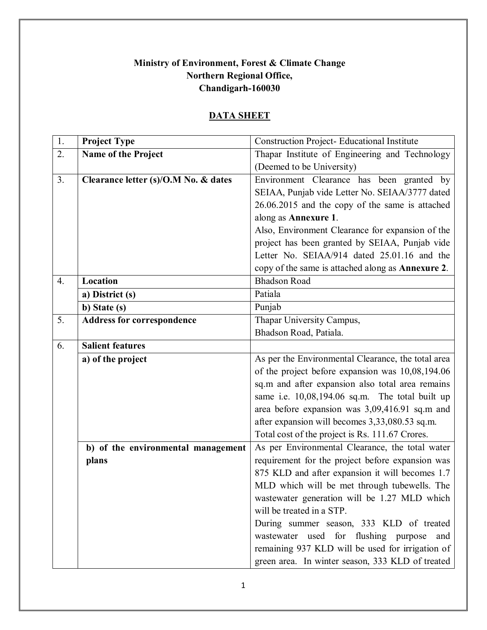#### **Ministry of Environment, Forest & Climate Change Northern Regional Office, Chandigarh-160030**

# **DATA SHEET**

| $\overline{1}$ . | <b>Project Type</b>                  | <b>Construction Project- Educational Institute</b> |
|------------------|--------------------------------------|----------------------------------------------------|
| 2.               | Name of the Project                  | Thapar Institute of Engineering and Technology     |
|                  |                                      | (Deemed to be University)                          |
| 3.               | Clearance letter (s)/O.M No. & dates | Environment Clearance has been granted by          |
|                  |                                      | SEIAA, Punjab vide Letter No. SEIAA/3777 dated     |
|                  |                                      | 26.06.2015 and the copy of the same is attached    |
|                  |                                      | along as Annexure 1.                               |
|                  |                                      | Also, Environment Clearance for expansion of the   |
|                  |                                      | project has been granted by SEIAA, Punjab vide     |
|                  |                                      | Letter No. SEIAA/914 dated 25.01.16 and the        |
|                  |                                      | copy of the same is attached along as Annexure 2.  |
| $\overline{4}$ . | Location                             | <b>Bhadson Road</b>                                |
|                  | a) District (s)                      | Patiala                                            |
|                  | b) State (s)                         | Punjab                                             |
| 5.               | <b>Address for correspondence</b>    | Thapar University Campus,                          |
|                  |                                      | Bhadson Road, Patiala.                             |
| 6.               | <b>Salient features</b>              |                                                    |
|                  | a) of the project                    | As per the Environmental Clearance, the total area |
|                  |                                      | of the project before expansion was 10,08,194.06   |
|                  |                                      | sq.m and after expansion also total area remains   |
|                  |                                      | same i.e. 10,08,194.06 sq.m. The total built up    |
|                  |                                      | area before expansion was 3,09,416.91 sq.m and     |
|                  |                                      | after expansion will becomes 3,33,080.53 sq.m.     |
|                  |                                      | Total cost of the project is Rs. 111.67 Crores.    |
|                  | b) of the environmental management   | As per Environmental Clearance, the total water    |
|                  | plans                                | requirement for the project before expansion was   |
|                  |                                      | 875 KLD and after expansion it will becomes 1.7    |
|                  |                                      | MLD which will be met through tubewells. The       |
|                  |                                      | wastewater generation will be 1.27 MLD which       |
|                  |                                      | will be treated in a STP.                          |
|                  |                                      | During summer season, 333 KLD of treated           |
|                  |                                      | wastewater used for flushing purpose<br>and        |
|                  |                                      | remaining 937 KLD will be used for irrigation of   |
|                  |                                      | green area. In winter season, 333 KLD of treated   |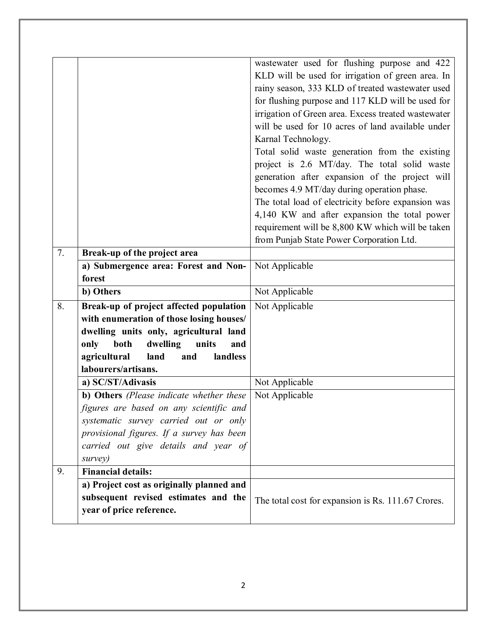|    |                                           | wastewater used for flushing purpose and 422        |
|----|-------------------------------------------|-----------------------------------------------------|
|    |                                           | KLD will be used for irrigation of green area. In   |
|    |                                           | rainy season, 333 KLD of treated wastewater used    |
|    |                                           | for flushing purpose and 117 KLD will be used for   |
|    |                                           | irrigation of Green area. Excess treated wastewater |
|    |                                           | will be used for 10 acres of land available under   |
|    |                                           | Karnal Technology.                                  |
|    |                                           | Total solid waste generation from the existing      |
|    |                                           | project is 2.6 MT/day. The total solid waste        |
|    |                                           | generation after expansion of the project will      |
|    |                                           | becomes 4.9 MT/day during operation phase.          |
|    |                                           | The total load of electricity before expansion was  |
|    |                                           | 4,140 KW and after expansion the total power        |
|    |                                           | requirement will be 8,800 KW which will be taken    |
|    |                                           | from Punjab State Power Corporation Ltd.            |
| 7. | Break-up of the project area              |                                                     |
|    | a) Submergence area: Forest and Non-      | Not Applicable                                      |
|    | forest                                    |                                                     |
|    | b) Others                                 | Not Applicable                                      |
| 8. | Break-up of project affected population   | Not Applicable                                      |
|    | with enumeration of those losing houses/  |                                                     |
|    | dwelling units only, agricultural land    |                                                     |
|    | units<br>only<br>both<br>dwelling<br>and  |                                                     |
|    | agricultural<br>landless<br>land<br>and   |                                                     |
|    | labourers/artisans.                       |                                                     |
|    | a) SC/ST/Adivasis                         | Not Applicable                                      |
|    | b) Others (Please indicate whether these  | Not Applicable                                      |
|    | figures are based on any scientific and   |                                                     |
|    | systematic survey carried out or only     |                                                     |
|    | provisional figures. If a survey has been |                                                     |
|    | carried out give details and year of      |                                                     |
|    | survey)                                   |                                                     |
| 9. | <b>Financial details:</b>                 |                                                     |
|    | a) Project cost as originally planned and |                                                     |
|    | subsequent revised estimates and the      | The total cost for expansion is Rs. 111.67 Crores.  |
|    | year of price reference.                  |                                                     |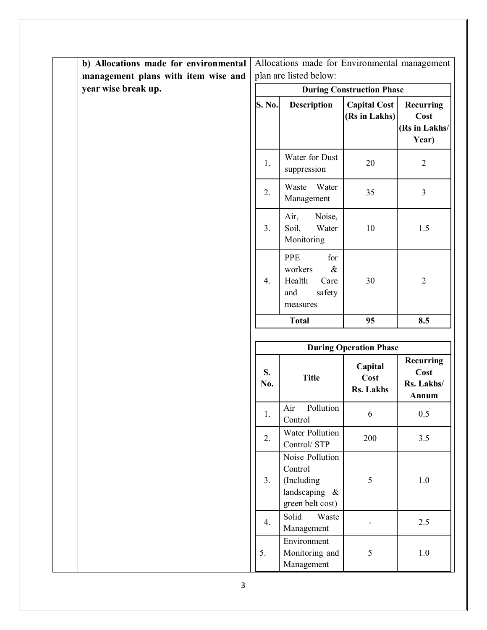| b) Allocations made for environmental |                        | Allocations made for Environmental management                                 |                                      |                                             |
|---------------------------------------|------------------------|-------------------------------------------------------------------------------|--------------------------------------|---------------------------------------------|
| management plans with item wise and   | plan are listed below: |                                                                               |                                      |                                             |
| year wise break up.                   |                        |                                                                               | <b>During Construction Phase</b>     |                                             |
|                                       | <b>S. No.</b>          | <b>Description</b>                                                            | <b>Capital Cost</b><br>(Rs in Lakhs) | Recurring<br>Cost<br>(Rs in Lakhs/<br>Year) |
|                                       | 1.                     | Water for Dust<br>suppression                                                 | 20                                   | $\overline{2}$                              |
|                                       | 2.                     | Water<br>Waste<br>Management                                                  | 35                                   | 3                                           |
|                                       | 3.                     | Air,<br>Noise,<br>Soil,<br>Water<br>Monitoring                                | 10                                   | 1.5                                         |
|                                       | 4.                     | PPE<br>for<br>$\&$<br>workers<br>Health<br>Care<br>safety<br>and<br>measures  | 30                                   | $\overline{2}$                              |
|                                       |                        | <b>Total</b>                                                                  | 95                                   | 8.5                                         |
|                                       |                        |                                                                               |                                      |                                             |
|                                       |                        |                                                                               |                                      |                                             |
|                                       |                        |                                                                               | <b>During Operation Phase</b>        |                                             |
|                                       | S.<br>No.              | <b>Title</b>                                                                  | Capital<br>Cost<br><b>Rs. Lakhs</b>  | Recurring<br>Cost<br>Rs. Lakhs/<br>Annum    |
|                                       | 1.                     | Air<br>Pollution<br>Control                                                   | 6                                    | 0.5                                         |
|                                       | 2.                     | Water Pollution<br>Control/ STP                                               | 200                                  | 3.5                                         |
|                                       | 3.                     | Noise Pollution<br>Control<br>(Including<br>landscaping &<br>green belt cost) | 5                                    | 1.0                                         |
|                                       | 4.                     | Solid<br>Waste<br>Management                                                  |                                      | 2.5                                         |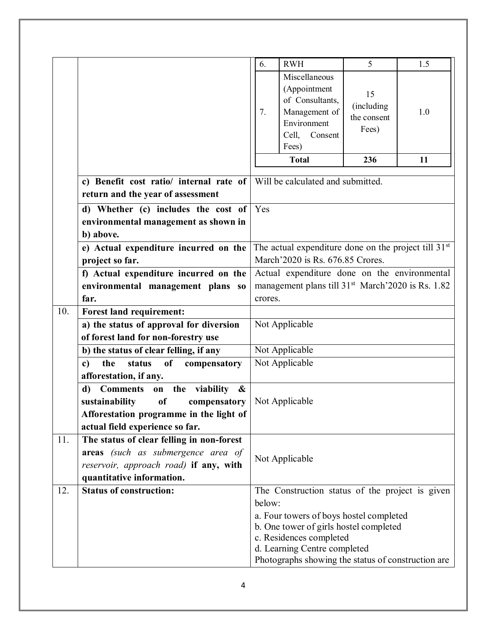|     |                                                                        | 6.                                                            | <b>RWH</b>                                                                                                    | 5                                        | 1.5 |
|-----|------------------------------------------------------------------------|---------------------------------------------------------------|---------------------------------------------------------------------------------------------------------------|------------------------------------------|-----|
|     |                                                                        | 7.                                                            | Miscellaneous<br>(Appointment<br>of Consultants,<br>Management of<br>Environment<br>Cell,<br>Consent<br>Fees) | 15<br>(including<br>the consent<br>Fees) | 1.0 |
|     |                                                                        |                                                               | <b>Total</b>                                                                                                  | 236                                      | 11  |
|     |                                                                        |                                                               |                                                                                                               |                                          |     |
|     | c) Benefit cost ratio/ internal rate of                                |                                                               | Will be calculated and submitted.                                                                             |                                          |     |
|     | return and the year of assessment                                      |                                                               |                                                                                                               |                                          |     |
|     | d) Whether (c) includes the cost of $\vert$ Yes                        |                                                               |                                                                                                               |                                          |     |
|     | environmental management as shown in                                   |                                                               |                                                                                                               |                                          |     |
|     | b) above.                                                              |                                                               |                                                                                                               |                                          |     |
|     | e) Actual expenditure incurred on the                                  |                                                               | The actual expenditure done on the project till 31 <sup>st</sup>                                              |                                          |     |
|     | project so far.                                                        | March'2020 is Rs. 676.85 Crores.                              |                                                                                                               |                                          |     |
|     | f) Actual expenditure incurred on the                                  | Actual expenditure done on the environmental                  |                                                                                                               |                                          |     |
|     | environmental management plans so                                      | management plans till 31 <sup>st</sup> March'2020 is Rs. 1.82 |                                                                                                               |                                          |     |
|     | far.                                                                   | crores.                                                       |                                                                                                               |                                          |     |
| 10. | <b>Forest land requirement:</b>                                        |                                                               |                                                                                                               |                                          |     |
|     | a) the status of approval for diversion                                |                                                               | Not Applicable                                                                                                |                                          |     |
|     | of forest land for non-forestry use                                    |                                                               |                                                                                                               |                                          |     |
|     | b) the status of clear felling, if any                                 | Not Applicable<br>Not Applicable                              |                                                                                                               |                                          |     |
|     | <sub>of</sub><br>the<br>status<br>compensatory<br>$\mathbf{c}$         |                                                               |                                                                                                               |                                          |     |
|     | afforestation, if any.<br><b>Comments</b><br>on the<br>viability<br>d) |                                                               |                                                                                                               |                                          |     |
|     | $\boldsymbol{\mathcal{X}}$<br>sustainability<br>of<br>compensatory     |                                                               |                                                                                                               |                                          |     |
|     | Afforestation programme in the light of                                | Not Applicable                                                |                                                                                                               |                                          |     |
|     | actual field experience so far.                                        |                                                               |                                                                                                               |                                          |     |
| 11. | The status of clear felling in non-forest                              |                                                               |                                                                                                               |                                          |     |
|     | areas (such as submergence area of                                     |                                                               |                                                                                                               |                                          |     |
|     | reservoir, approach road) if any, with                                 |                                                               | Not Applicable                                                                                                |                                          |     |
|     | quantitative information.                                              |                                                               |                                                                                                               |                                          |     |
| 12. | <b>Status of construction:</b>                                         |                                                               | The Construction status of the project is given                                                               |                                          |     |
|     |                                                                        | below:                                                        |                                                                                                               |                                          |     |
|     |                                                                        |                                                               | a. Four towers of boys hostel completed<br>b. One tower of girls hostel completed<br>c. Residences completed  |                                          |     |
|     |                                                                        |                                                               | d. Learning Centre completed<br>Photographs showing the status of construction are                            |                                          |     |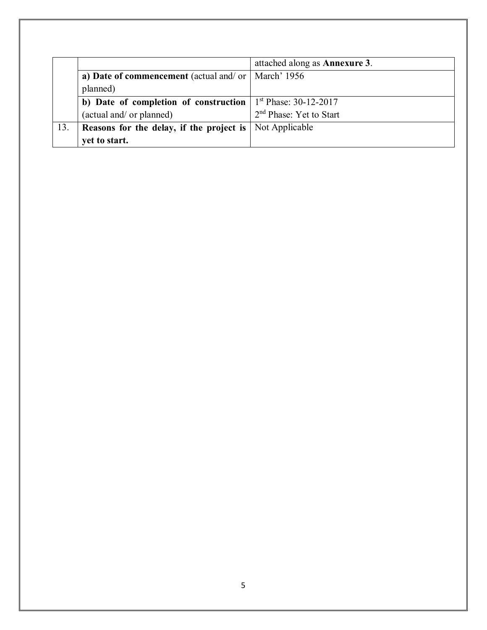|     |                                                                | attached along as <b>Annexure 3</b> . |
|-----|----------------------------------------------------------------|---------------------------------------|
|     | a) Date of commencement (actual and/ or   March' 1956          |                                       |
|     | planned)                                                       |                                       |
|     | b) Date of completion of construction                          | $1st Phase: 30-12-2017$               |
|     | (actual and/ or planned)                                       | 2 <sup>nd</sup> Phase: Yet to Start   |
| 13. | <b>Reasons for the delay, if the project is</b> Not Applicable |                                       |
|     | yet to start.                                                  |                                       |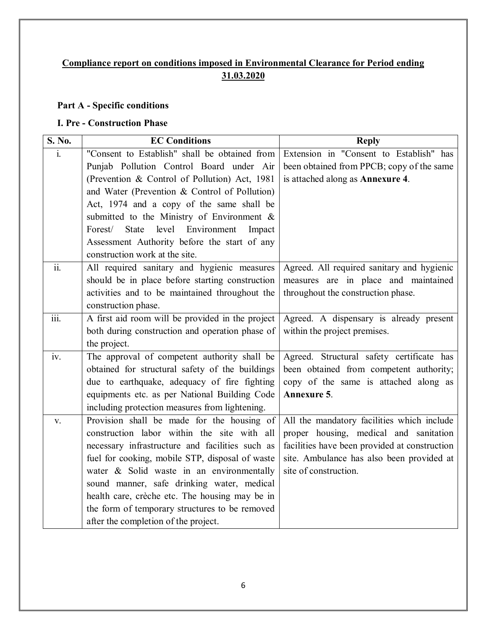### **Compliance report on conditions imposed in Environmental Clearance for Period ending 31.03.2020**

#### **Part A - Specific conditions**

#### **I. Pre - Construction Phase**

| S. No.                    | <b>EC Conditions</b>                               | <b>Reply</b>                                  |
|---------------------------|----------------------------------------------------|-----------------------------------------------|
| $\mathbf{i}$ .            | "Consent to Establish" shall be obtained from      | Extension in "Consent to Establish" has       |
|                           | Punjab Pollution Control Board under Air           | been obtained from PPCB; copy of the same     |
|                           | (Prevention & Control of Pollution) Act, 1981      | is attached along as Annexure 4.              |
|                           | and Water (Prevention & Control of Pollution)      |                                               |
|                           | Act, 1974 and a copy of the same shall be          |                                               |
|                           | submitted to the Ministry of Environment &         |                                               |
|                           | State<br>level<br>Environment<br>Forest/<br>Impact |                                               |
|                           | Assessment Authority before the start of any       |                                               |
|                           | construction work at the site.                     |                                               |
| ii.                       | All required sanitary and hygienic measures        | Agreed. All required sanitary and hygienic    |
|                           | should be in place before starting construction    | measures are in place and maintained          |
|                           | activities and to be maintained throughout the     | throughout the construction phase.            |
|                           | construction phase.                                |                                               |
| $\overline{\text{iii}}$ . | A first aid room will be provided in the project   | Agreed. A dispensary is already present       |
|                           | both during construction and operation phase of    | within the project premises.                  |
|                           | the project.                                       |                                               |
| iv.                       | The approval of competent authority shall be       | Agreed. Structural safety certificate has     |
|                           | obtained for structural safety of the buildings    | been obtained from competent authority;       |
|                           | due to earthquake, adequacy of fire fighting       | copy of the same is attached along as         |
|                           | equipments etc. as per National Building Code      | Annexure 5.                                   |
|                           | including protection measures from lightening.     |                                               |
| V.                        | Provision shall be made for the housing of         | All the mandatory facilities which include    |
|                           | construction labor within the site with all        | proper housing, medical and sanitation        |
|                           | necessary infrastructure and facilities such as    | facilities have been provided at construction |
|                           | fuel for cooking, mobile STP, disposal of waste    | site. Ambulance has also been provided at     |
|                           | water & Solid waste in an environmentally          | site of construction.                         |
|                           | sound manner, safe drinking water, medical         |                                               |
|                           | health care, crèche etc. The housing may be in     |                                               |
|                           | the form of temporary structures to be removed     |                                               |
|                           | after the completion of the project.               |                                               |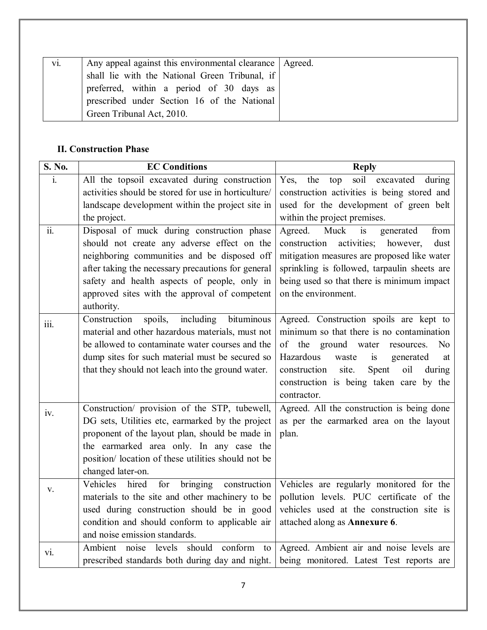| vi. | Any appeal against this environmental clearance   Agreed. |  |
|-----|-----------------------------------------------------------|--|
|     | shall lie with the National Green Tribunal, if            |  |
|     | preferred, within a period of 30 days as                  |  |
|     | prescribed under Section 16 of the National               |  |
|     | Green Tribunal Act, 2010.                                 |  |

#### **II. Construction Phase**

| S. No.            | <b>EC Conditions</b>                                 | <b>Reply</b>                                           |
|-------------------|------------------------------------------------------|--------------------------------------------------------|
| $\mathbf{i}$ .    | All the topsoil excavated during construction        | soil excavated<br>Yes,<br>the<br>during<br>top         |
|                   | activities should be stored for use in horticulture/ | construction activities is being stored and            |
|                   | landscape development within the project site in     | used for the development of green belt                 |
|                   | the project.                                         | within the project premises.                           |
| $\overline{ii}$ . | Disposal of muck during construction phase           | Muck<br>generated<br>from<br>Agreed.<br>is             |
|                   | should not create any adverse effect on the          | activities;<br>however,<br>dust<br>construction        |
|                   | neighboring communities and be disposed off          | mitigation measures are proposed like water            |
|                   | after taking the necessary precautions for general   | sprinkling is followed, tarpaulin sheets are           |
|                   | safety and health aspects of people, only in         | being used so that there is minimum impact             |
|                   | approved sites with the approval of competent        | on the environment.                                    |
|                   | authority.                                           |                                                        |
| iii.              | Construction<br>spoils,<br>including<br>bituminous   | Agreed. Construction spoils are kept to                |
|                   | material and other hazardous materials, must not     | minimum so that there is no contamination              |
|                   | be allowed to contaminate water courses and the      | ground water<br>of the<br>N <sub>o</sub><br>resources. |
|                   | dump sites for such material must be secured so      | Hazardous<br>waste<br>generated<br>is<br>at            |
|                   | that they should not leach into the ground water.    | site.<br>construction<br>Spent<br>oil<br>during        |
|                   |                                                      | construction is being taken care by the                |
|                   |                                                      | contractor.                                            |
| iv.               | Construction/ provision of the STP, tubewell,        | Agreed. All the construction is being done             |
|                   | DG sets, Utilities etc, earmarked by the project     | as per the earmarked area on the layout                |
|                   | proponent of the layout plan, should be made in      | plan.                                                  |
|                   | the earmarked area only. In any case the             |                                                        |
|                   | position/ location of these utilities should not be  |                                                        |
|                   | changed later-on.                                    |                                                        |
| V.                | Vehicles<br>hired<br>for<br>bringing<br>construction | Vehicles are regularly monitored for the               |
|                   | materials to the site and other machinery to be      | pollution levels. PUC certificate of the               |
|                   | used during construction should be in good           | vehicles used at the construction site is              |
|                   | condition and should conform to applicable air       | attached along as Annexure 6.                          |
|                   | and noise emission standards.                        |                                                        |
| vi.               | Ambient noise levels should conform to               | Agreed. Ambient air and noise levels are               |
|                   | prescribed standards both during day and night.      | being monitored. Latest Test reports are               |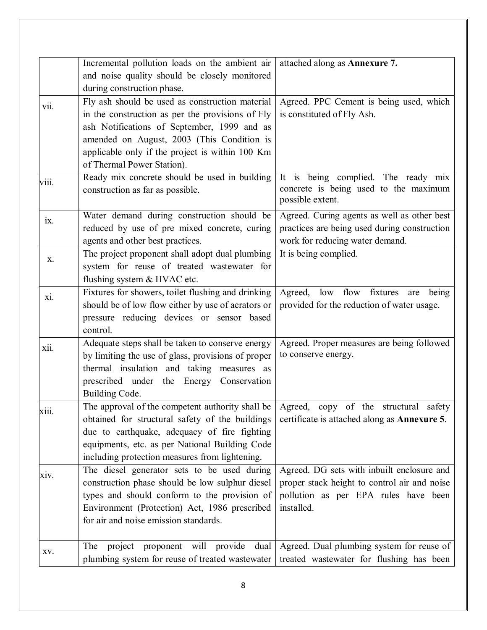|       | Incremental pollution loads on the ambient air<br>and noise quality should be closely monitored<br>during construction phase.                                                                                                                                                     | attached along as Annexure 7.                                                                                                                    |
|-------|-----------------------------------------------------------------------------------------------------------------------------------------------------------------------------------------------------------------------------------------------------------------------------------|--------------------------------------------------------------------------------------------------------------------------------------------------|
| vii.  | Fly ash should be used as construction material<br>in the construction as per the provisions of Fly<br>ash Notifications of September, 1999 and as<br>amended on August, 2003 (This Condition is<br>applicable only if the project is within 100 Km<br>of Thermal Power Station). | Agreed. PPC Cement is being used, which<br>is constituted of Fly Ash.                                                                            |
| viii. | Ready mix concrete should be used in building<br>construction as far as possible.                                                                                                                                                                                                 | It is being complied. The ready mix<br>concrete is being used to the maximum<br>possible extent.                                                 |
| ix.   | Water demand during construction should be<br>reduced by use of pre mixed concrete, curing<br>agents and other best practices.                                                                                                                                                    | Agreed. Curing agents as well as other best<br>practices are being used during construction<br>work for reducing water demand.                   |
| X.    | The project proponent shall adopt dual plumbing<br>system for reuse of treated wastewater for<br>flushing system & HVAC etc.                                                                                                                                                      | It is being complied.                                                                                                                            |
| xi.   | Fixtures for showers, toilet flushing and drinking<br>should be of low flow either by use of aerators or<br>pressure reducing devices or sensor based<br>control.                                                                                                                 | Agreed,<br>low<br>flow<br>fixtures<br>being<br>are<br>provided for the reduction of water usage.                                                 |
| xii.  | Adequate steps shall be taken to conserve energy<br>by limiting the use of glass, provisions of proper<br>thermal insulation and taking measures as<br>prescribed under the Energy Conservation<br>Building Code.                                                                 | Agreed. Proper measures are being followed<br>to conserve energy.                                                                                |
| X111. | The approval of the competent authority shall be $\vert$ Agreed,<br>obtained for structural safety of the buildings<br>due to earthquake, adequacy of fire fighting<br>equipments, etc. as per National Building Code<br>including protection measures from lightening.           | copy of the<br>safety<br>structural<br>certificate is attached along as <b>Annexure 5</b> .                                                      |
| XIV.  | The diesel generator sets to be used during<br>construction phase should be low sulphur diesel<br>types and should conform to the provision of<br>Environment (Protection) Act, 1986 prescribed<br>for air and noise emission standards.                                          | Agreed. DG sets with inbuilt enclosure and<br>proper stack height to control air and noise<br>pollution as per EPA rules have been<br>installed. |
| XV.   | proponent will provide<br>dual<br>project<br>The<br>plumbing system for reuse of treated wastewater                                                                                                                                                                               | Agreed. Dual plumbing system for reuse of<br>treated wastewater for flushing has been                                                            |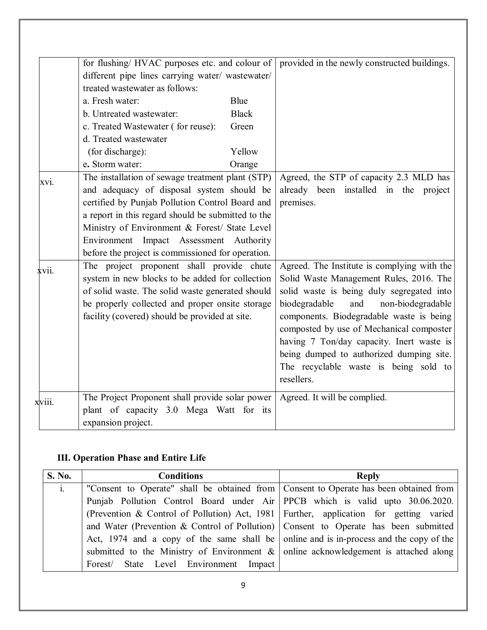|        | for flushing/ HVAC purposes etc. and colour of     |              | provided in the newly constructed buildings. |
|--------|----------------------------------------------------|--------------|----------------------------------------------|
|        | different pipe lines carrying water/ wastewater/   |              |                                              |
|        | treated wastewater as follows:                     |              |                                              |
|        | a. Fresh water:                                    | Blue         |                                              |
|        | b. Untreated wastewater:                           | <b>Black</b> |                                              |
|        | c. Treated Wastewater (for reuse):                 | Green        |                                              |
|        | d. Treated wastewater                              |              |                                              |
|        | (for discharge):                                   | Yellow       |                                              |
|        | e. Storm water:                                    | Orange       |                                              |
| xvi.   | The installation of sewage treatment plant (STP)   |              | Agreed, the STP of capacity 2.3 MLD has      |
|        | and adequacy of disposal system should be          |              | already been installed in the project        |
|        | certified by Punjab Pollution Control Board and    |              | premises.                                    |
|        | a report in this regard should be submitted to the |              |                                              |
|        | Ministry of Environment & Forest/ State Level      |              |                                              |
|        | Environment Impact Assessment Authority            |              |                                              |
|        | before the project is commissioned for operation.  |              |                                              |
| xvii.  | The project proponent shall provide chute          |              | Agreed. The Institute is complying with the  |
|        | system in new blocks to be added for collection    |              | Solid Waste Management Rules, 2016. The      |
|        | of solid waste. The solid waste generated should   |              | solid waste is being duly segregated into    |
|        | be properly collected and proper onsite storage    |              | non-biodegradable<br>biodegradable<br>and    |
|        | facility (covered) should be provided at site.     |              | components. Biodegradable waste is being     |
|        |                                                    |              | composted by use of Mechanical composter     |
|        |                                                    |              | having 7 Ton/day capacity. Inert waste is    |
|        |                                                    |              | being dumped to authorized dumping site.     |
|        |                                                    |              | The recyclable waste is being sold to        |
|        |                                                    |              | resellers.                                   |
| xviii. | The Project Proponent shall provide solar power    |              | Agreed. It will be complied.                 |
|        | plant of capacity 3.0 Mega Watt for its            |              |                                              |
|        | expansion project.                                 |              |                                              |

# **III. Operation Phase and Entire Life**

| S. No.     | <b>Conditions</b>                                                                        | <b>Reply</b> |
|------------|------------------------------------------------------------------------------------------|--------------|
| <i>i</i> . | "Consent to Operate" shall be obtained from   Consent to Operate has been obtained from  |              |
|            | Punjab Pollution Control Board under Air PPCB which is valid upto 30.06.2020.            |              |
|            | (Prevention & Control of Pollution) Act, 1981 Further, application for getting varied    |              |
|            | and Water (Prevention & Control of Pollution)   Consent to Operate has been submitted    |              |
|            | Act, 1974 and a copy of the same shall be online and is in-process and the copy of the   |              |
|            | submitted to the Ministry of Environment $\&$   online acknowledgement is attached along |              |
|            | Forest/ State Level Environment Impact                                                   |              |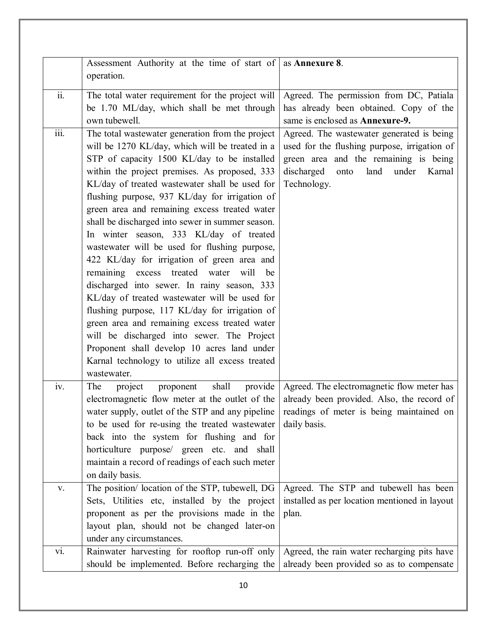|                           | Assessment Authority at the time of start of $\vert$ as <b>Annexure 8</b> .                                                                                                                                                                                                                                                                                                                                                                                                                                                                                                                                                                                                                                                                                                                                                                                                                                                                                                  |                                                                                                                                                                                                    |
|---------------------------|------------------------------------------------------------------------------------------------------------------------------------------------------------------------------------------------------------------------------------------------------------------------------------------------------------------------------------------------------------------------------------------------------------------------------------------------------------------------------------------------------------------------------------------------------------------------------------------------------------------------------------------------------------------------------------------------------------------------------------------------------------------------------------------------------------------------------------------------------------------------------------------------------------------------------------------------------------------------------|----------------------------------------------------------------------------------------------------------------------------------------------------------------------------------------------------|
|                           | operation.                                                                                                                                                                                                                                                                                                                                                                                                                                                                                                                                                                                                                                                                                                                                                                                                                                                                                                                                                                   |                                                                                                                                                                                                    |
| $\overline{ii}$ .         | The total water requirement for the project will<br>be 1.70 ML/day, which shall be met through<br>own tubewell.                                                                                                                                                                                                                                                                                                                                                                                                                                                                                                                                                                                                                                                                                                                                                                                                                                                              | Agreed. The permission from DC, Patiala<br>has already been obtained. Copy of the<br>same is enclosed as Annexure-9.                                                                               |
| $\overline{\text{iii}}$ . | The total wastewater generation from the project<br>will be 1270 KL/day, which will be treated in a<br>STP of capacity 1500 KL/day to be installed<br>within the project premises. As proposed, 333<br>KL/day of treated wastewater shall be used for<br>flushing purpose, 937 KL/day for irrigation of<br>green area and remaining excess treated water<br>shall be discharged into sewer in summer season.<br>In winter season, 333 KL/day of treated<br>wastewater will be used for flushing purpose,<br>422 KL/day for irrigation of green area and<br>remaining<br>excess treated water<br>will<br>be<br>discharged into sewer. In rainy season, 333<br>KL/day of treated wastewater will be used for<br>flushing purpose, 117 KL/day for irrigation of<br>green area and remaining excess treated water<br>will be discharged into sewer. The Project<br>Proponent shall develop 10 acres land under<br>Karnal technology to utilize all excess treated<br>wastewater. | Agreed. The wastewater generated is being<br>used for the flushing purpose, irrigation of<br>green area and the remaining is being<br>discharged<br>land<br>onto<br>under<br>Karnal<br>Technology. |
| iv.                       | The<br>shall<br>provide<br>project<br>proponent<br>electromagnetic flow meter at the outlet of the<br>water supply, outlet of the STP and any pipeline<br>to be used for re-using the treated wastewater<br>back into the system for flushing and for<br>horticulture purpose/ green etc. and shall<br>maintain a record of readings of each such meter<br>on daily basis.                                                                                                                                                                                                                                                                                                                                                                                                                                                                                                                                                                                                   | Agreed. The electromagnetic flow meter has<br>already been provided. Also, the record of<br>readings of meter is being maintained on<br>daily basis.                                               |
| V.                        | The position/ location of the STP, tubewell, DG<br>Sets, Utilities etc, installed by the project<br>proponent as per the provisions made in the<br>layout plan, should not be changed later-on<br>under any circumstances.                                                                                                                                                                                                                                                                                                                                                                                                                                                                                                                                                                                                                                                                                                                                                   | Agreed. The STP and tubewell has been<br>installed as per location mentioned in layout<br>plan.                                                                                                    |
| vi.                       | Rainwater harvesting for rooftop run-off only<br>should be implemented. Before recharging the                                                                                                                                                                                                                                                                                                                                                                                                                                                                                                                                                                                                                                                                                                                                                                                                                                                                                | Agreed, the rain water recharging pits have<br>already been provided so as to compensate                                                                                                           |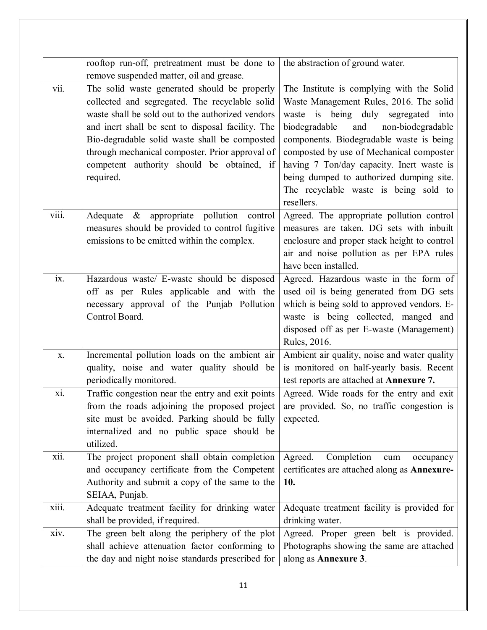|       | rooftop run-off, pretreatment must be done to                                                                                                                                                                                                                                                                                                                           | the abstraction of ground water.                                                                                                                                                                                                                                                                                                                                                                                 |
|-------|-------------------------------------------------------------------------------------------------------------------------------------------------------------------------------------------------------------------------------------------------------------------------------------------------------------------------------------------------------------------------|------------------------------------------------------------------------------------------------------------------------------------------------------------------------------------------------------------------------------------------------------------------------------------------------------------------------------------------------------------------------------------------------------------------|
|       | remove suspended matter, oil and grease.                                                                                                                                                                                                                                                                                                                                |                                                                                                                                                                                                                                                                                                                                                                                                                  |
| vii.  | The solid waste generated should be properly<br>collected and segregated. The recyclable solid<br>waste shall be sold out to the authorized vendors<br>and inert shall be sent to disposal facility. The<br>Bio-degradable solid waste shall be composted<br>through mechanical composter. Prior approval of<br>competent authority should be obtained, if<br>required. | The Institute is complying with the Solid<br>Waste Management Rules, 2016. The solid<br>waste is being duly segregated into<br>and<br>biodegradable<br>non-biodegradable<br>components. Biodegradable waste is being<br>composted by use of Mechanical composter<br>having 7 Ton/day capacity. Inert waste is<br>being dumped to authorized dumping site.<br>The recyclable waste is being sold to<br>resellers. |
| viii. | Adequate & appropriate pollution control<br>measures should be provided to control fugitive<br>emissions to be emitted within the complex.                                                                                                                                                                                                                              | Agreed. The appropriate pollution control<br>measures are taken. DG sets with inbuilt<br>enclosure and proper stack height to control<br>air and noise pollution as per EPA rules<br>have been installed.                                                                                                                                                                                                        |
| ix.   | Hazardous waste/ E-waste should be disposed<br>off as per Rules applicable and with the<br>necessary approval of the Punjab Pollution<br>Control Board.                                                                                                                                                                                                                 | Agreed. Hazardous waste in the form of<br>used oil is being generated from DG sets<br>which is being sold to approved vendors. E-<br>waste is being collected, manged and<br>disposed off as per E-waste (Management)<br>Rules, 2016.                                                                                                                                                                            |
| X.    | Incremental pollution loads on the ambient air<br>quality, noise and water quality should be<br>periodically monitored.                                                                                                                                                                                                                                                 | Ambient air quality, noise and water quality<br>is monitored on half-yearly basis. Recent<br>test reports are attached at Annexure 7.                                                                                                                                                                                                                                                                            |
| xi.   | Traffic congestion near the entry and exit points<br>from the roads adjoining the proposed project<br>site must be avoided. Parking should be fully<br>internalized and no public space should be<br>utilized.                                                                                                                                                          | Agreed. Wide roads for the entry and exit<br>are provided. So, no traffic congestion is<br>expected.                                                                                                                                                                                                                                                                                                             |
| xii.  | The project proponent shall obtain completion<br>and occupancy certificate from the Competent<br>Authority and submit a copy of the same to the<br>SEIAA, Punjab.                                                                                                                                                                                                       | Completion<br>Agreed.<br>cum<br>occupancy<br>certificates are attached along as Annexure-<br>10.                                                                                                                                                                                                                                                                                                                 |
| xiii. | Adequate treatment facility for drinking water<br>shall be provided, if required.                                                                                                                                                                                                                                                                                       | Adequate treatment facility is provided for<br>drinking water.                                                                                                                                                                                                                                                                                                                                                   |
| xiv.  | The green belt along the periphery of the plot<br>shall achieve attenuation factor conforming to<br>the day and night noise standards prescribed for                                                                                                                                                                                                                    | Agreed. Proper green belt is provided.<br>Photographs showing the same are attached<br>along as Annexure 3.                                                                                                                                                                                                                                                                                                      |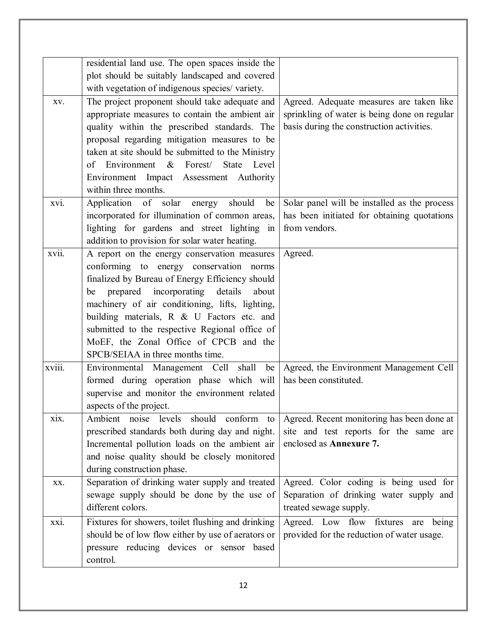|        | residential land use. The open spaces inside the<br>plot should be suitably landscaped and covered<br>with vegetation of indigenous species/ variety.                                                                                                                                                                                                                                                                        |                                                                                                                                       |
|--------|------------------------------------------------------------------------------------------------------------------------------------------------------------------------------------------------------------------------------------------------------------------------------------------------------------------------------------------------------------------------------------------------------------------------------|---------------------------------------------------------------------------------------------------------------------------------------|
| XV.    | The project proponent should take adequate and<br>appropriate measures to contain the ambient air<br>quality within the prescribed standards. The<br>proposal regarding mitigation measures to be<br>taken at site should be submitted to the Ministry<br>of Environment & Forest/ State<br>Level<br>Environment Impact Assessment Authority<br>within three months.                                                         | Agreed. Adequate measures are taken like<br>sprinkling of water is being done on regular<br>basis during the construction activities. |
| xvi.   | Application of solar energy<br>should<br>be<br>incorporated for illumination of common areas,<br>lighting for gardens and street lighting in<br>addition to provision for solar water heating.                                                                                                                                                                                                                               | Solar panel will be installed as the process<br>has been initiated for obtaining quotations<br>from vendors.                          |
| xvii.  | A report on the energy conservation measures<br>conforming to energy conservation norms<br>finalized by Bureau of Energy Efficiency should<br>prepared incorporating details<br>be<br>about<br>machinery of air conditioning, lifts, lighting,<br>building materials, R & U Factors etc. and<br>submitted to the respective Regional office of<br>MoEF, the Zonal Office of CPCB and the<br>SPCB/SEIAA in three months time. | Agreed.                                                                                                                               |
| xviii. | Environmental Management Cell shall<br>be<br>formed during operation phase which will<br>supervise and monitor the environment related<br>aspects of the project.                                                                                                                                                                                                                                                            | Agreed, the Environment Management Cell<br>has been constituted.                                                                      |
| xix.   | Ambient noise levels should conform to<br>prescribed standards both during day and night.<br>Incremental pollution loads on the ambient air<br>and noise quality should be closely monitored<br>during construction phase.                                                                                                                                                                                                   | Agreed. Recent monitoring has been done at<br>site and test reports for the same are<br>enclosed as Annexure 7.                       |
| XX.    | Separation of drinking water supply and treated<br>sewage supply should be done by the use of<br>different colors.                                                                                                                                                                                                                                                                                                           | Agreed. Color coding is being used for<br>Separation of drinking water supply and<br>treated sewage supply.                           |
| xxi.   | Fixtures for showers, toilet flushing and drinking<br>should be of low flow either by use of aerators or<br>pressure reducing devices or sensor based<br>control.                                                                                                                                                                                                                                                            | Agreed. Low flow fixtures are being<br>provided for the reduction of water usage.                                                     |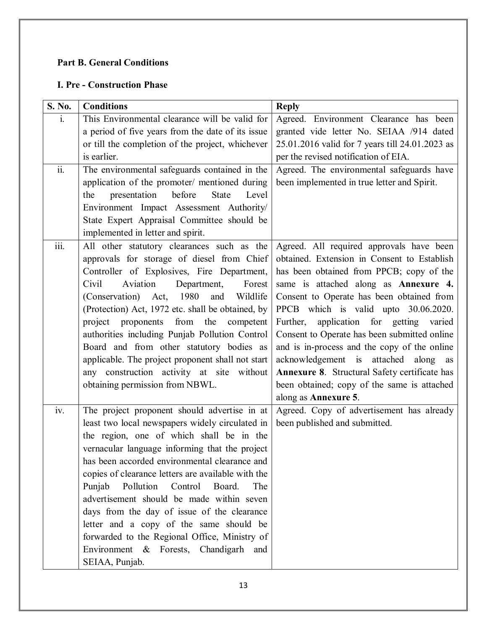#### **Part B. General Conditions**

#### **I. Pre - Construction Phase**

| S. No.            | <b>Conditions</b>                                                                                                                                                                                                                                                                                                                                                                                                                                                                                                                                                                                          | <b>Reply</b>                                                                                                                                                                                                                                                                                                                                                                                                                                                                                                                                                                    |
|-------------------|------------------------------------------------------------------------------------------------------------------------------------------------------------------------------------------------------------------------------------------------------------------------------------------------------------------------------------------------------------------------------------------------------------------------------------------------------------------------------------------------------------------------------------------------------------------------------------------------------------|---------------------------------------------------------------------------------------------------------------------------------------------------------------------------------------------------------------------------------------------------------------------------------------------------------------------------------------------------------------------------------------------------------------------------------------------------------------------------------------------------------------------------------------------------------------------------------|
| $\mathbf{i}$ .    | This Environmental clearance will be valid for<br>a period of five years from the date of its issue<br>or till the completion of the project, whichever<br>is earlier.                                                                                                                                                                                                                                                                                                                                                                                                                                     | Agreed. Environment Clearance has been<br>granted vide letter No. SEIAA /914 dated<br>25.01.2016 valid for 7 years till 24.01.2023 as<br>per the revised notification of EIA.                                                                                                                                                                                                                                                                                                                                                                                                   |
| $\overline{ii}$ . | The environmental safeguards contained in the<br>application of the promoter/ mentioned during<br>presentation<br>before<br><b>State</b><br>the<br>Level<br>Environment Impact Assessment Authority/<br>State Expert Appraisal Committee should be<br>implemented in letter and spirit.                                                                                                                                                                                                                                                                                                                    | Agreed. The environmental safeguards have<br>been implemented in true letter and Spirit.                                                                                                                                                                                                                                                                                                                                                                                                                                                                                        |
| iii.              | All other statutory clearances such as the<br>approvals for storage of diesel from Chief<br>Controller of Explosives, Fire Department,<br>Aviation<br>Department,<br>Civil<br>Forest<br>(Conservation) Act, 1980<br>Wildlife<br>and<br>(Protection) Act, 1972 etc. shall be obtained, by<br>project proponents from the competent<br>authorities including Punjab Pollution Control<br>Board and from other statutory bodies as<br>applicable. The project proponent shall not start<br>any construction activity at site without<br>obtaining permission from NBWL.                                       | Agreed. All required approvals have been<br>obtained. Extension in Consent to Establish<br>has been obtained from PPCB; copy of the<br>same is attached along as Annexure 4.<br>Consent to Operate has been obtained from<br>PPCB which is valid upto 30.06.2020.<br>application for getting varied<br>Further,<br>Consent to Operate has been submitted online<br>and is in-process and the copy of the online<br>acknowledgement is attached along as<br>Annexure 8. Structural Safety certificate has<br>been obtained; copy of the same is attached<br>along as Annexure 5. |
| iv.               | The project proponent should advertise in at<br>least two local newspapers widely circulated in<br>the region, one of which shall be in the<br>vernacular language informing that the project<br>has been accorded environmental clearance and<br>copies of clearance letters are available with the<br>Pollution<br>Control<br>Board.<br>Punjab<br>The<br>advertisement should be made within seven<br>days from the day of issue of the clearance<br>letter and a copy of the same should be<br>forwarded to the Regional Office, Ministry of<br>Environment & Forests, Chandigarh and<br>SEIAA, Punjab. | Agreed. Copy of advertisement has already<br>been published and submitted.                                                                                                                                                                                                                                                                                                                                                                                                                                                                                                      |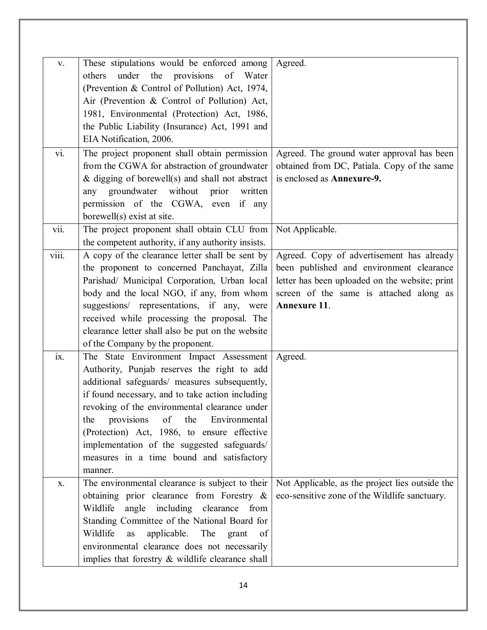| $\mathbf{V}$ . | These stipulations would be enforced among<br>under the provisions<br>of<br>Water<br>others<br>(Prevention & Control of Pollution) Act, 1974,<br>Air (Prevention & Control of Pollution) Act,<br>1981, Environmental (Protection) Act, 1986,<br>the Public Liability (Insurance) Act, 1991 and                                                                                                                                                                                                                                                                                                                                                                                 | Agreed.                                                                                                                                                                                                              |
|----------------|--------------------------------------------------------------------------------------------------------------------------------------------------------------------------------------------------------------------------------------------------------------------------------------------------------------------------------------------------------------------------------------------------------------------------------------------------------------------------------------------------------------------------------------------------------------------------------------------------------------------------------------------------------------------------------|----------------------------------------------------------------------------------------------------------------------------------------------------------------------------------------------------------------------|
|                | EIA Notification, 2006.                                                                                                                                                                                                                                                                                                                                                                                                                                                                                                                                                                                                                                                        |                                                                                                                                                                                                                      |
| vi.            | The project proponent shall obtain permission<br>from the CGWA for abstraction of groundwater<br>$\&$ digging of borewell(s) and shall not abstract<br>groundwater<br>without prior<br>written<br>any<br>permission of the CGWA, even if any<br>borewell(s) exist at site.                                                                                                                                                                                                                                                                                                                                                                                                     | Agreed. The ground water approval has been<br>obtained from DC, Patiala. Copy of the same<br>is enclosed as Annexure-9.                                                                                              |
| vii.           | The project proponent shall obtain CLU from<br>the competent authority, if any authority insists.                                                                                                                                                                                                                                                                                                                                                                                                                                                                                                                                                                              | Not Applicable.                                                                                                                                                                                                      |
| viii.<br>ix.   | A copy of the clearance letter shall be sent by<br>the proponent to concerned Panchayat, Zilla<br>Parishad/ Municipal Corporation, Urban local<br>body and the local NGO, if any, from whom<br>suggestions/ representations, if any,<br>were<br>received while processing the proposal. The<br>clearance letter shall also be put on the website<br>of the Company by the proponent.<br>The State Environment Impact Assessment<br>Authority, Punjab reserves the right to add<br>additional safeguards/ measures subsequently,<br>if found necessary, and to take action including<br>revoking of the environmental clearance under<br>provisions of the Environmental<br>the | Agreed. Copy of advertisement has already<br>been published and environment clearance<br>letter has been uploaded on the website; print<br>screen of the same is attached along as<br><b>Annexure 11.</b><br>Agreed. |
|                | (Protection) Act, 1986, to ensure effective<br>implementation of the suggested safeguards/<br>measures in a time bound and satisfactory<br>manner.                                                                                                                                                                                                                                                                                                                                                                                                                                                                                                                             |                                                                                                                                                                                                                      |
| Х.             | The environmental clearance is subject to their<br>obtaining prior clearance from Forestry &<br>Wildlife<br>angle including clearance from<br>Standing Committee of the National Board for<br>Wildlife<br>applicable. The<br>as<br>grant<br>- of<br>environmental clearance does not necessarily<br>implies that forestry & wildlife clearance shall                                                                                                                                                                                                                                                                                                                           | Not Applicable, as the project lies outside the<br>eco-sensitive zone of the Wildlife sanctuary.                                                                                                                     |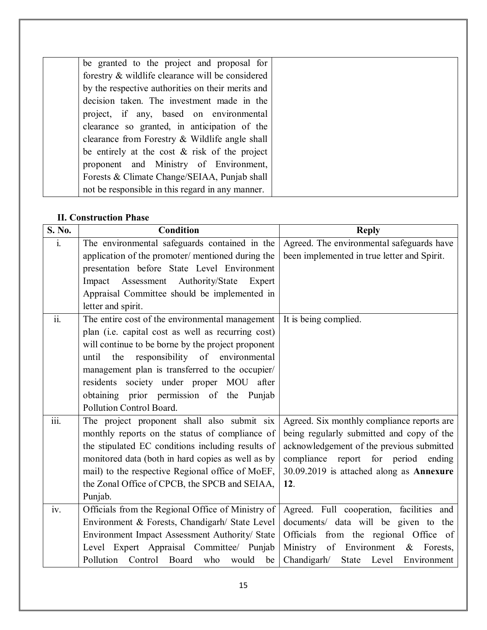| be granted to the project and proposal for        |  |
|---------------------------------------------------|--|
| forestry & wildlife clearance will be considered  |  |
| by the respective authorities on their merits and |  |
| decision taken. The investment made in the        |  |
| project, if any, based on environmental           |  |
| clearance so granted, in anticipation of the      |  |
| clearance from Forestry & Wildlife angle shall    |  |
| be entirely at the cost $\&$ risk of the project  |  |
| proponent and Ministry of Environment,            |  |
| Forests & Climate Change/SEIAA, Punjab shall      |  |
| not be responsible in this regard in any manner.  |  |

#### **II. Construction Phase**

| S. No.             | <b>Condition</b>                                   | <b>Reply</b>                                |
|--------------------|----------------------------------------------------|---------------------------------------------|
| $\mathbf{i}$ .     | The environmental safeguards contained in the      | Agreed. The environmental safeguards have   |
|                    | application of the promoter/ mentioned during the  | been implemented in true letter and Spirit. |
|                    | presentation before State Level Environment        |                                             |
|                    | Impact Assessment Authority/State<br>Expert        |                                             |
|                    | Appraisal Committee should be implemented in       |                                             |
|                    | letter and spirit.                                 |                                             |
| $\overline{ii}$ .  | The entire cost of the environmental management    | It is being complied.                       |
|                    | plan (i.e. capital cost as well as recurring cost) |                                             |
|                    | will continue to be borne by the project proponent |                                             |
|                    | responsibility of environmental<br>until<br>the    |                                             |
|                    | management plan is transferred to the occupier/    |                                             |
|                    | residents society under proper MOU after           |                                             |
|                    | obtaining prior permission of the Punjab           |                                             |
|                    | Pollution Control Board.                           |                                             |
| $\overline{iii}$ . | The project proponent shall also submit six        | Agreed. Six monthly compliance reports are  |
|                    | monthly reports on the status of compliance of     | being regularly submitted and copy of the   |
|                    | the stipulated EC conditions including results of  | acknowledgement of the previous submitted   |
|                    | monitored data (both in hard copies as well as by  | compliance report for period ending         |
|                    | mail) to the respective Regional office of MoEF,   | 30.09.2019 is attached along as Annexure    |
|                    | the Zonal Office of CPCB, the SPCB and SEIAA,      | 12.                                         |
|                    | Punjab.                                            |                                             |
| iv.                | Officials from the Regional Office of Ministry of  | Agreed. Full cooperation, facilities and    |
|                    | Environment & Forests, Chandigarh/ State Level     | documents/ data will be given to the        |
|                    | Environment Impact Assessment Authority/ State     | Officials from the regional Office of       |
|                    | Level Expert Appraisal Committee/ Punjab           | Ministry of Environment<br>$\&$<br>Forests, |
|                    | Pollution Control Board who<br>would<br>be         | Chandigarh/<br>State Level<br>Environment   |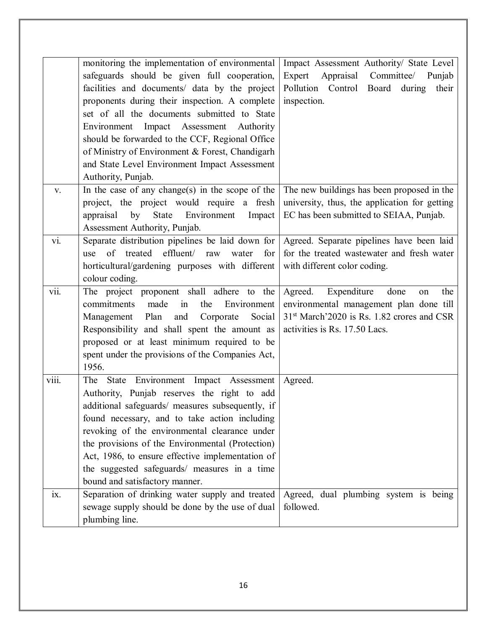|       | monitoring the implementation of environmental<br>safeguards should be given full cooperation,<br>facilities and documents/ data by the project<br>proponents during their inspection. A complete<br>set of all the documents submitted to State<br>Environment Impact Assessment Authority<br>should be forwarded to the CCF, Regional Office<br>of Ministry of Environment & Forest, Chandigarh<br>and State Level Environment Impact Assessment | Impact Assessment Authority/ State Level<br>Appraisal<br>Expert<br>Committee/ Punjab<br>Pollution Control Board during<br>their<br>inspection.                                    |
|-------|----------------------------------------------------------------------------------------------------------------------------------------------------------------------------------------------------------------------------------------------------------------------------------------------------------------------------------------------------------------------------------------------------------------------------------------------------|-----------------------------------------------------------------------------------------------------------------------------------------------------------------------------------|
|       | Authority, Punjab.                                                                                                                                                                                                                                                                                                                                                                                                                                 |                                                                                                                                                                                   |
| V.    | In the case of any change(s) in the scope of the<br>project, the project would require a fresh<br>by<br>State<br>Environment<br>appraisal<br>Impact<br>Assessment Authority, Punjab.                                                                                                                                                                                                                                                               | The new buildings has been proposed in the<br>university, thus, the application for getting<br>EC has been submitted to SEIAA, Punjab.                                            |
| vi.   | Separate distribution pipelines be laid down for<br>eff <sub>l</sub><br>of treated<br>for<br>raw<br>water<br>use<br>horticultural/gardening purposes with different<br>colour coding.                                                                                                                                                                                                                                                              | Agreed. Separate pipelines have been laid<br>for the treated wastewater and fresh water<br>with different color coding.                                                           |
| vii.  | The project proponent shall adhere to the<br>commitments<br>made<br>the<br>Environment<br>in<br>Plan<br>and<br>Social<br>Corporate<br>Management<br>Responsibility and shall spent the amount as<br>proposed or at least minimum required to be<br>spent under the provisions of the Companies Act,<br>1956.                                                                                                                                       | Expenditure<br>Agreed.<br>done<br>the<br>on<br>environmental management plan done till<br>31 <sup>st</sup> March'2020 is Rs. 1.82 crores and CSR<br>activities is Rs. 17.50 Lacs. |
| viii. | The State Environment Impact Assessment<br>Authority, Punjab reserves the right to add<br>additional safeguards/ measures subsequently, if<br>found necessary, and to take action including<br>revoking of the environmental clearance under<br>the provisions of the Environmental (Protection)<br>Act, 1986, to ensure effective implementation of<br>the suggested safeguards/ measures in a time<br>bound and satisfactory manner.             | Agreed.                                                                                                                                                                           |
| ix.   | Separation of drinking water supply and treated<br>sewage supply should be done by the use of dual<br>plumbing line.                                                                                                                                                                                                                                                                                                                               | Agreed, dual plumbing system is being<br>followed.                                                                                                                                |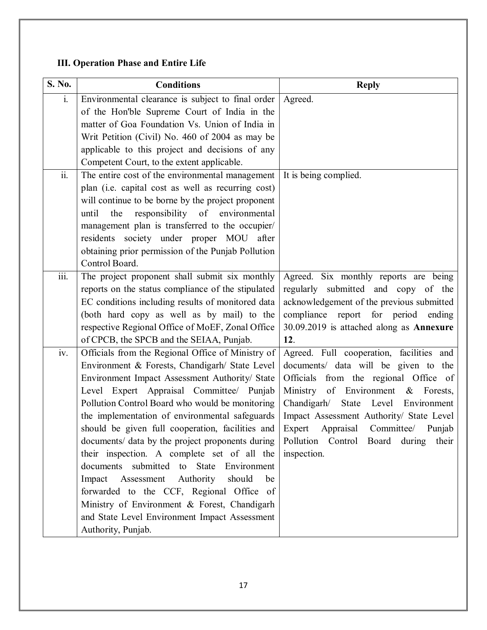# **III. Operation Phase and Entire Life**

| S. No.                    | <b>Conditions</b>                                                                                    | <b>Reply</b>                                                     |
|---------------------------|------------------------------------------------------------------------------------------------------|------------------------------------------------------------------|
| $\mathbf{i}$ .            | Environmental clearance is subject to final order                                                    | Agreed.                                                          |
|                           | of the Hon'ble Supreme Court of India in the                                                         |                                                                  |
|                           | matter of Goa Foundation Vs. Union of India in                                                       |                                                                  |
|                           | Writ Petition (Civil) No. 460 of 2004 as may be                                                      |                                                                  |
|                           | applicable to this project and decisions of any                                                      |                                                                  |
|                           | Competent Court, to the extent applicable.                                                           |                                                                  |
| $\overline{\text{ii}}$ .  | The entire cost of the environmental management                                                      | It is being complied.                                            |
|                           | plan (i.e. capital cost as well as recurring cost)                                                   |                                                                  |
|                           | will continue to be borne by the project proponent                                                   |                                                                  |
|                           | responsibility of environmental<br>until<br>the                                                      |                                                                  |
|                           | management plan is transferred to the occupier/                                                      |                                                                  |
|                           | residents society under proper MOU<br>after                                                          |                                                                  |
|                           | obtaining prior permission of the Punjab Pollution                                                   |                                                                  |
|                           | Control Board.                                                                                       |                                                                  |
| $\overline{\text{iii}}$ . | The project proponent shall submit six monthly                                                       | Agreed. Six monthly reports are being                            |
|                           | reports on the status compliance of the stipulated                                                   | regularly submitted and copy of the                              |
|                           | EC conditions including results of monitored data                                                    | acknowledgement of the previous submitted                        |
|                           | (both hard copy as well as by mail) to the                                                           | compliance report for period<br>ending                           |
|                           | respective Regional Office of MoEF, Zonal Office                                                     | 30.09.2019 is attached along as Annexure                         |
|                           | of CPCB, the SPCB and the SEIAA, Punjab.                                                             | 12.                                                              |
| iv.                       | Officials from the Regional Office of Ministry of                                                    | Agreed. Full cooperation, facilities and                         |
|                           | Environment & Forests, Chandigarh/ State Level                                                       | documents/ data will be given to the                             |
|                           | Environment Impact Assessment Authority/ State                                                       | Officials from the regional Office of                            |
|                           | Level Expert Appraisal Committee/ Punjab                                                             | Ministry of Environment<br>$\&$<br>Forests,                      |
|                           | Pollution Control Board who would be monitoring                                                      | Chandigarh/<br>Level<br>State<br>Environment                     |
|                           | the implementation of environmental safeguards                                                       | Impact Assessment Authority/ State Level<br>Committee/<br>Punjab |
|                           | should be given full cooperation, facilities and<br>documents/ data by the project proponents during | Expert<br>Appraisal<br>Pollution Control Board during<br>their   |
|                           | their inspection. A complete set of all the                                                          | inspection.                                                      |
|                           | documents submitted to State Environment                                                             |                                                                  |
|                           | Impact Assessment Authority<br>should<br>be                                                          |                                                                  |
|                           | forwarded to the CCF, Regional Office of                                                             |                                                                  |
|                           | Ministry of Environment & Forest, Chandigarh                                                         |                                                                  |
|                           | and State Level Environment Impact Assessment                                                        |                                                                  |
|                           | Authority, Punjab.                                                                                   |                                                                  |